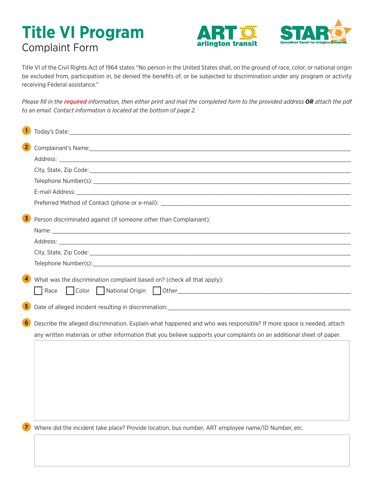## **Title VI Program** Complaint Form





Title VI of the Civil Rights Act of 1964 states "No person in the United States shall, on the ground of race, color, or national origin be excluded from, participation in, be denied the benefits of, or be subjected to discrimination under any program or activity receiving Federal assistance."

*Please fill in the required information, then either print and mail the completed form to the provided address OR attach the pdf to an email. Contact information is located at the bottom of page 2.*

| $\vert$ 2<br>Complainant's Name: 1988 - 1988 - 1988 - 1988 - 1988 - 1988 - 1988 - 1988 - 1988 - 1988 - 1988 - 1988 - 1988 -<br>Preferred Method of Contact (phone or e-mail): Department of the control of Contact (phone or e-mail):<br>Person discriminated against (if someone other than Complainant):<br>$\overline{4}$<br>What was the discrimination complaint based on? (check all that apply):<br>Race<br>$\overline{\mathbf{5}}$<br>6 <sub>1</sub><br>Describe the alleged discrimination. Explain what happened and who was responsible? If more space is needed, attach<br>any written materials or other information that you believe supports your complaints on an additional sheet of paper. |  |
|--------------------------------------------------------------------------------------------------------------------------------------------------------------------------------------------------------------------------------------------------------------------------------------------------------------------------------------------------------------------------------------------------------------------------------------------------------------------------------------------------------------------------------------------------------------------------------------------------------------------------------------------------------------------------------------------------------------|--|
|                                                                                                                                                                                                                                                                                                                                                                                                                                                                                                                                                                                                                                                                                                              |  |
|                                                                                                                                                                                                                                                                                                                                                                                                                                                                                                                                                                                                                                                                                                              |  |
| $\mathbf{3}$                                                                                                                                                                                                                                                                                                                                                                                                                                                                                                                                                                                                                                                                                                 |  |
|                                                                                                                                                                                                                                                                                                                                                                                                                                                                                                                                                                                                                                                                                                              |  |
|                                                                                                                                                                                                                                                                                                                                                                                                                                                                                                                                                                                                                                                                                                              |  |
|                                                                                                                                                                                                                                                                                                                                                                                                                                                                                                                                                                                                                                                                                                              |  |
|                                                                                                                                                                                                                                                                                                                                                                                                                                                                                                                                                                                                                                                                                                              |  |
|                                                                                                                                                                                                                                                                                                                                                                                                                                                                                                                                                                                                                                                                                                              |  |
|                                                                                                                                                                                                                                                                                                                                                                                                                                                                                                                                                                                                                                                                                                              |  |
|                                                                                                                                                                                                                                                                                                                                                                                                                                                                                                                                                                                                                                                                                                              |  |
|                                                                                                                                                                                                                                                                                                                                                                                                                                                                                                                                                                                                                                                                                                              |  |
|                                                                                                                                                                                                                                                                                                                                                                                                                                                                                                                                                                                                                                                                                                              |  |
|                                                                                                                                                                                                                                                                                                                                                                                                                                                                                                                                                                                                                                                                                                              |  |
|                                                                                                                                                                                                                                                                                                                                                                                                                                                                                                                                                                                                                                                                                                              |  |
| $\mathbf{Z}$<br>Where did the incident take place? Provide location, bus number, ART employee name/ID Number, etc.                                                                                                                                                                                                                                                                                                                                                                                                                                                                                                                                                                                           |  |

 $\Box$